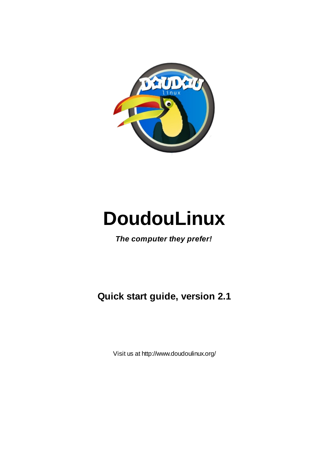

# **DoudouLinux**

*The computer they prefer!*

**Quick start guide, version 2.1**

Visit us at http://www.doudoulinux.org/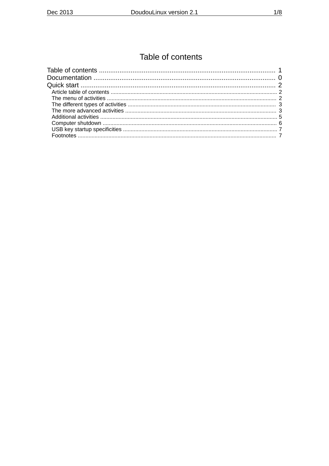## Table of contents

<span id="page-2-9"></span><span id="page-2-8"></span><span id="page-2-7"></span><span id="page-2-6"></span><span id="page-2-5"></span><span id="page-2-4"></span><span id="page-2-3"></span><span id="page-2-2"></span><span id="page-2-1"></span><span id="page-2-0"></span>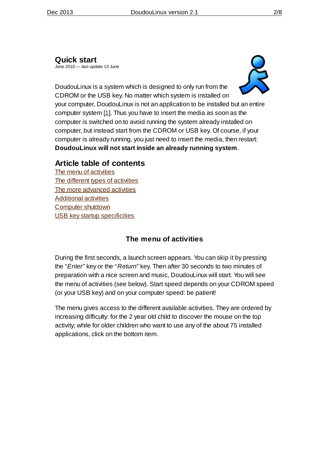#### <span id="page-3-0"></span>**[Quick](#page-2-1) start**

June 2010 — last update 13 June



DoudouLinux is a system which is designed to only run from the CDROM or the USB key. No matter which system is installed on your computer, DoudouLinux is not an application to be installed but an entire computer system [\[1\]](http://www.doudoulinux.org/spip/english/documentation-7/article/quick-start#nb1). Thus you have to insert the media as soon as the computer is switched on to avoid running the system already installed on computer, but instead start from the CDROM or USB key. Of course, if your computer is already running, you just need to insert the media, then restart: **DoudouLinux will not start inside an already running system**.

## <span id="page-3-1"></span>**Article table of [contents](#page-2-2)**

The menu of [activities](http://www.doudoulinux.org/spip/english/documentation-7/article/english/documentation-7/article/quick-start#1) The different types of [activities](http://www.doudoulinux.org/spip/english/documentation-7/article/english/documentation-7/article/quick-start#2) The more [advanced](http://www.doudoulinux.org/spip/english/documentation-7/article/english/documentation-7/article/quick-start#3) activities [Additional](http://www.doudoulinux.org/spip/english/documentation-7/article/english/documentation-7/article/quick-start#4) activities [Computer](http://www.doudoulinux.org/spip/english/documentation-7/article/english/documentation-7/article/quick-start#5) shutdown USB key startup [specificities](http://www.doudoulinux.org/spip/english/documentation-7/article/english/documentation-7/article/quick-start#6)

## **The menu of [activities](#page-2-3)**

<span id="page-3-2"></span>During the first seconds, a launch screen appears. You can skip it by pressing the "*Enter*" key or the "*Return*" key. Then after 30 seconds to two minutes of preparation with a nice screen and music, DoudouLinux will start. You will see the menu of activities (see below). Start speed depends on your CDROM speed (or your USB key) and on your computer speed: be patient!

The menu gives access to the different available activities. They are ordered by increasing difficulty: for the 2 year old child to discover the mouse on the top activity; while for older children who want to use any of the about 75 installed applications, click on the bottom item.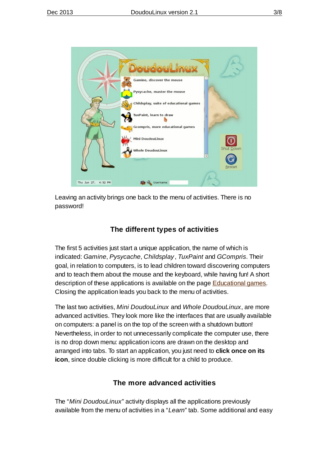

Leaving an activity brings one back to the menu of activities. There is no password!

### **The different types of [activities](#page-2-4)**

<span id="page-4-0"></span>The first 5 activities just start a unique application, the name of which is indicated: *Gamine*, *Pysycache*, *Childsplay* , *TuxPaint* and *GCompris*. Their goal, in relation to computers, is to lead children toward discovering computers and to teach them about the mouse and the keyboard, while having fun! A short description of these applications is available on the page **[Educational](http://www.doudoulinux.org/spip/english/documentation-7/article/english/documentation-7/applications-13/article/educational-games) games**. Closing the application leads you back to the menu of activities.

The last two activities, *Mini DoudouLinux* and *Whole DoudouLinux*, are more advanced activities. They look more like the interfaces that are usually available on computers: a panel is on the top of the screen with a shutdown button! Nevertheless, in order to not unnecessarily complicate the computer use, there is no drop down menu: application icons are drawn on the desktop and arranged into tabs. To start an application, you just need to **click once on its icon**, since double clicking is more difficult for a child to produce.

#### **The more [advanced](#page-2-5) activities**

<span id="page-4-1"></span>The "*Mini DoudouLinux*" activity displays all the applications previously available from the menu of activities in a "*Learn*" tab. Some additional and easy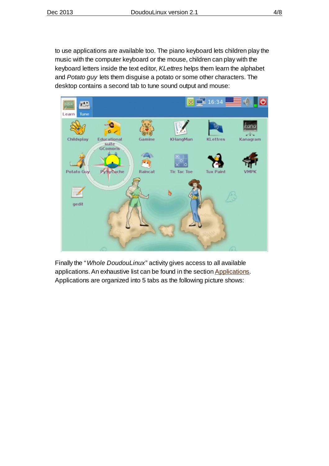to use applications are available too. The piano keyboard lets children play the music with the computer keyboard or the mouse, children can play with the keyboard letters inside the text editor, *KLettres* helps them learn the alphabet and *Potato guy* lets them disguise a potato or some other characters. The desktop contains a second tab to tune sound output and mouse:



Finally the "*Whole DoudouLinux*" activity gives access to all available applications. An exhaustive list can be found in the section [Applications.](http://www.doudoulinux.org/spip/english/documentation-7/article/english/documentation-7/applications-13/) Applications are organized into 5 tabs as the following picture shows: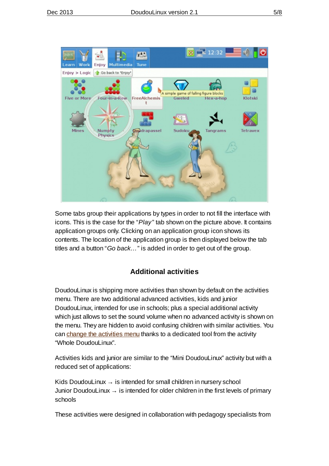

Some tabs group their applications by types in order to not fill the interface with icons. This is the case for the "*Play* " tab shown on the picture above. It contains application groups only. Clicking on an application group icon shows its contents. The location of the application group is then displayed below the tab titles and a button "*Go back…*" is added in order to get out of the group.

#### **[Additional](#page-2-6) activities**

<span id="page-6-0"></span>DoudouLinux is shipping more activities than shown by default on the activities menu. There are two additional advanced activities, kids and junior DoudouLinux, intended for use in schools; plus a special additional activity which just allows to set the sound volume when no advanced activity is shown on the menu. They are hidden to avoid confusing children with similar activities. You can change the [activities](http://www.doudoulinux.org/spip/english/documentation-7/article/english/documentation-7/configuration-14/article/the-activities-menu) menu thanks to a dedicated tool from the activity "Whole DoudouLinux".

Activities kids and junior are similar to the "Mini DoudouLinux" activity but with a reduced set of applications:

Kids DoudouLinux  $\rightarrow$  is intended for small children in nursery school Junior DoudouLinux  $\rightarrow$  is intended for older children in the first levels of primary schools

These activities were designed in collaboration with pedagogy specialists from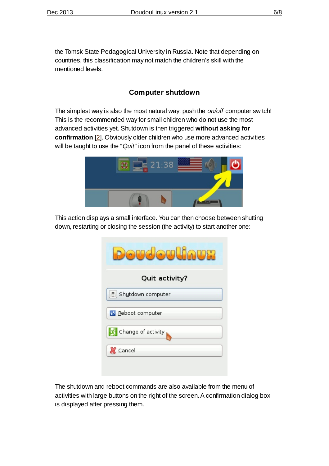the Tomsk State Pedagogical University in Russia. Note that depending on countries, this classification may not match the children's skill with the mentioned levels.

### **[Computer](#page-2-7) shutdown**

<span id="page-7-0"></span>The simplest way is also the most natural way: push the *on/off* computer switch! This is the recommended way for small children who do not use the most advanced activities yet. Shutdown is then triggered **without asking for confirmation** [\[2\]](http://www.doudoulinux.org/spip/english/documentation-7/article/quick-start#nb2). Obviously older children who use more advanced activities will be taught to use the "*Quit*" icon from the panel of these activities:



This action displays a small interface. You can then choose between shutting down, restarting or closing the session (the activity) to start another one:

| ெ                               |  |  |
|---------------------------------|--|--|
| Quit activity?                  |  |  |
| Shutdown computer               |  |  |
| <b>SD</b> Reboot computer       |  |  |
| $\mathbf{A}$ Change of activity |  |  |
| <b>X</b> Cancel                 |  |  |

The shutdown and reboot commands are also available from the menu of activities with large buttons on the right of the screen. A confirmation dialog box is displayed after pressing them.